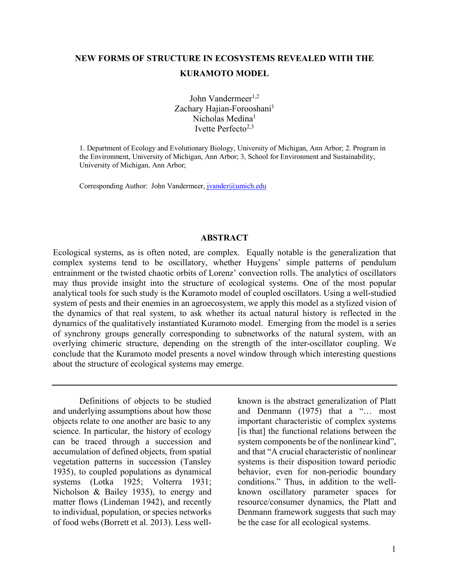# **NEW FORMS OF STRUCTURE IN ECOSYSTEMS REVEALED WITH THE KURAMOTO MODEL**

John Vandermeer $1,2$ Zachary Hajian-Forooshani<sup>1</sup> Nicholas Medina1 Ivette Perfecto<sup>2,3</sup>

1. Department of Ecology and Evolutionary Biology, University of Michigan, Ann Arbor; 2. Program in the Environment, University of Michigan, Ann Arbor; 3, School for Environment and Sustainability, University of Michigan, Ann Arbor;

Corresponding Author: John Vandermeer, jvander@umich.edu

#### **ABSTRACT**

Ecological systems, as is often noted, are complex. Equally notable is the generalization that complex systems tend to be oscillatory, whether Huygens' simple patterns of pendulum entrainment or the twisted chaotic orbits of Lorenz' convection rolls. The analytics of oscillators may thus provide insight into the structure of ecological systems. One of the most popular analytical tools for such study is the Kuramoto model of coupled oscillators. Using a well-studied system of pests and their enemies in an agroecosystem, we apply this model as a stylized vision of the dynamics of that real system, to ask whether its actual natural history is reflected in the dynamics of the qualitatively instantiated Kuramoto model. Emerging from the model is a series of synchrony groups generally corresponding to subnetworks of the natural system, with an overlying chimeric structure, depending on the strength of the inter-oscillator coupling. We conclude that the Kuramoto model presents a novel window through which interesting questions about the structure of ecological systems may emerge.

Definitions of objects to be studied and underlying assumptions about how those objects relate to one another are basic to any science. In particular, the history of ecology can be traced through a succession and accumulation of defined objects, from spatial vegetation patterns in succession (Tansley 1935), to coupled populations as dynamical systems (Lotka 1925; Volterra 1931; Nicholson & Bailey 1935), to energy and matter flows (Lindeman 1942), and recently to individual, population, or species networks of food webs (Borrett et al. 2013). Less wellknown is the abstract generalization of Platt and Denmann (1975) that a "… most important characteristic of complex systems [is that] the functional relations between the system components be of the nonlinear kind", and that "A crucial characteristic of nonlinear systems is their disposition toward periodic behavior, even for non-periodic boundary conditions." Thus, in addition to the wellknown oscillatory parameter spaces for resource/consumer dynamics, the Platt and Denmann framework suggests that such may be the case for all ecological systems.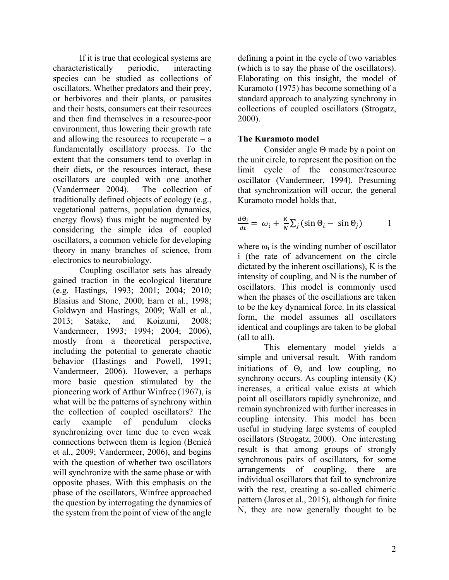If it is true that ecological systems are characteristically periodic, interacting species can be studied as collections of oscillators. Whether predators and their prey, or herbivores and their plants, or parasites and their hosts, consumers eat their resources and then find themselves in a resource-poor environment, thus lowering their growth rate and allowing the resources to recuperate  $-$  a fundamentally oscillatory process. To the extent that the consumers tend to overlap in their diets, or the resources interact, these oscillators are coupled with one another (Vandermeer 2004). The collection of traditionally defined objects of ecology (e.g., vegetational patterns, population dynamics, energy flows) thus might be augmented by considering the simple idea of coupled oscillators, a common vehicle for developing theory in many branches of science, from electronics to neurobiology.

Coupling oscillator sets has already gained traction in the ecological literature (e.g. Hastings, 1993; 2001; 2004; 2010; Blasius and Stone, 2000; Earn et al., 1998; Goldwyn and Hastings, 2009; Wall et al., 2013; Satake, and Koizumi, 2008; Vandermeer, 1993; 1994; 2004; 2006), mostly from a theoretical perspective, including the potential to generate chaotic behavior (Hastings and Powell, 1991; Vandermeer, 2006). However, a perhaps more basic question stimulated by the pioneering work of Arthur Winfree (1967), is what will be the patterns of synchrony within the collection of coupled oscillators? The early example of pendulum clocks synchronizing over time due to even weak connections between them is legion (Benicá et al., 2009; Vandermeer, 2006), and begins with the question of whether two oscillators will synchronize with the same phase or with opposite phases. With this emphasis on the phase of the oscillators, Winfree approached the question by interrogating the dynamics of the system from the point of view of the angle defining a point in the cycle of two variables (which is to say the phase of the oscillators). Elaborating on this insight, the model of Kuramoto (1975) has become something of a standard approach to analyzing synchrony in collections of coupled oscillators (Strogatz, 2000).

### **The Kuramoto model**

Consider angle  $\Theta$  made by a point on the unit circle, to represent the position on the limit cycle of the consumer/resource oscillator (Vandermeer, 1994). Presuming that synchronization will occur, the general Kuramoto model holds that,

$$
\frac{d\Theta_i}{dt} = \omega_i + \frac{K}{N} \sum_j (\sin \Theta_i - \sin \Theta_j) \qquad 1
$$

where  $\omega_i$  is the winding number of oscillator i (the rate of advancement on the circle dictated by the inherent oscillations), K is the intensity of coupling, and N is the number of oscillators. This model is commonly used when the phases of the oscillations are taken to be the key dynamical force. In its classical form, the model assumes all oscillators identical and couplings are taken to be global (all to all).

This elementary model yields a simple and universal result. With random initiations of  $\Theta$ , and low coupling, no synchrony occurs. As coupling intensity (K) increases, a critical value exists at which point all oscillators rapidly synchronize, and remain synchronized with further increases in coupling intensity. This model has been useful in studying large systems of coupled oscillators (Strogatz, 2000). One interesting result is that among groups of strongly synchronous pairs of oscillators, for some arrangements of coupling, there are individual oscillators that fail to synchronize with the rest, creating a so-called chimeric pattern (Jaros et al., 2015), although for finite N, they are now generally thought to be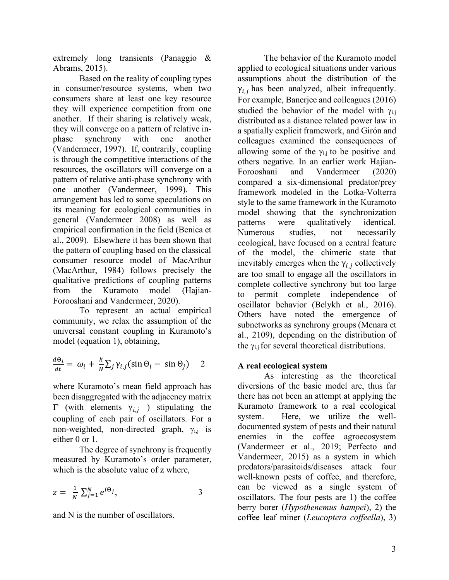extremely long transients (Panaggio & Abrams, 2015).

Based on the reality of coupling types in consumer/resource systems, when two consumers share at least one key resource they will experience competition from one another. If their sharing is relatively weak, they will converge on a pattern of relative inphase synchrony with one another (Vandermeer, 1997). If, contrarily, coupling is through the competitive interactions of the resources, the oscillators will converge on a pattern of relative anti-phase synchrony with one another (Vandermeer, 1999). This arrangement has led to some speculations on its meaning for ecological communities in general (Vandermeer 2008) as well as empirical confirmation in the field (Benica et al., 2009). Elsewhere it has been shown that the pattern of coupling based on the classical consumer resource model of MacArthur (MacArthur, 1984) follows precisely the qualitative predictions of coupling patterns from the Kuramoto model (Hajian-Forooshani and Vandermeer, 2020).

To represent an actual empirical community, we relax the assumption of the universal constant coupling in Kuramoto's model (equation 1), obtaining,

$$
\frac{d\Theta_i}{dt} = \omega_i + \frac{k}{N} \sum_j \gamma_{i,j} (\sin \Theta_i - \sin \Theta_j) \quad 2
$$

where Kuramoto's mean field approach has been disaggregated with the adjacency matrix  $Γ$  (with elements  $γ_{i,j}$ ) stipulating the coupling of each pair of oscillators. For a non-weighted, non-directed graph,  $\gamma_{i,j}$  is either 0 or 1.

The degree of synchrony is frequently measured by Kuramoto's order parameter, which is the absolute value of z where,

$$
z = \frac{1}{N} \sum_{j=1}^{N} e^{i\Theta_j}, \qquad \qquad 3
$$

and N is the number of oscillators.

The behavior of the Kuramoto model applied to ecological situations under various assumptions about the distribution of the  $\gamma_{i,j}$  has been analyzed, albeit infrequently. For example, Banerjee and colleagues (2016) studied the behavior of the model with  $\gamma_{i,j}$ distributed as a distance related power law in a spatially explicit framework, and Girón and colleagues examined the consequences of allowing some of the  $\gamma_{i,j}$  to be positive and others negative. In an earlier work Hajian-Forooshani and Vandermeer (2020) compared a six-dimensional predator/prey framework modeled in the Lotka-Volterra style to the same framework in the Kuramoto model showing that the synchronization patterns were qualitatively identical. Numerous studies, not necessarily ecological, have focused on a central feature of the model, the chimeric state that inevitably emerges when the  $\gamma_{i,j}$  collectively are too small to engage all the oscillators in complete collective synchrony but too large to permit complete independence of oscillator behavior (Belykh et al., 2016). Others have noted the emergence of subnetworks as synchrony groups (Menara et al., 2109), depending on the distribution of the  $\gamma_{i,j}$  for several theoretical distributions.

## **A real ecological system**

As interesting as the theoretical diversions of the basic model are, thus far there has not been an attempt at applying the Kuramoto framework to a real ecological system. Here, we utilize the welldocumented system of pests and their natural enemies in the coffee agroecosystem (Vandermeer et al., 2019; Perfecto and Vandermeer, 2015) as a system in which predators/parasitoids/diseases attack four well-known pests of coffee, and therefore, can be viewed as a single system of oscillators. The four pests are 1) the coffee berry borer (*Hypothenemus hampei*), 2) the coffee leaf miner (*Leucoptera coffeella*), 3)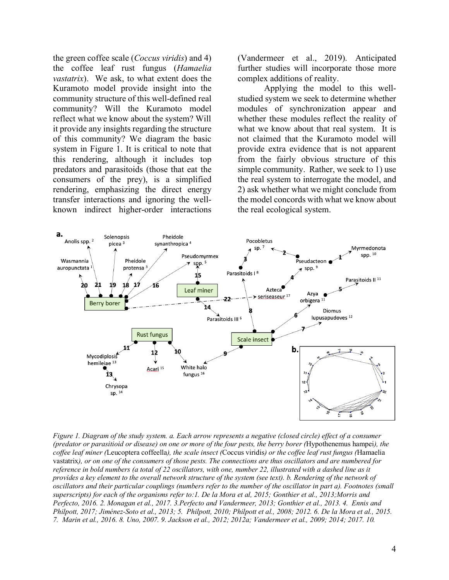the green coffee scale (*Coccus viridis*) and 4) the coffee leaf rust fungus (*Hamaelia vastatrix*). We ask, to what extent does the Kuramoto model provide insight into the community structure of this well-defined real community? Will the Kuramoto model reflect what we know about the system? Will it provide any insights regarding the structure of this community? We diagram the basic system in Figure 1. It is critical to note that this rendering, although it includes top predators and parasitoids (those that eat the consumers of the prey), is a simplified rendering, emphasizing the direct energy transfer interactions and ignoring the wellknown indirect higher-order interactions

(Vandermeer et al., 2019). Anticipated further studies will incorporate those more complex additions of reality.

Applying the model to this wellstudied system we seek to determine whether modules of synchronization appear and whether these modules reflect the reality of what we know about that real system. It is not claimed that the Kuramoto model will provide extra evidence that is not apparent from the fairly obvious structure of this simple community. Rather, we seek to 1) use the real system to interrogate the model, and 2) ask whether what we might conclude from the model concords with what we know about the real ecological system.



*Figure 1. Diagram of the study system. a. Each arrow represents a negative (closed circle) effect of a consumer (predator or parasitioid or disease) on one or more of the four pests, the berry borer (*Hypothenemus hampei*), the coffee leaf miner (*Leucoptera coffeella*), the scale insect (*Coccus viridis*) or the coffee leaf rust fungus (*Hamaelia vastatrix*), or on one of the consumers of those pests. The connections are thus oscillators and are numbered for reference in bold numbers (a total of 22 oscillators, with one, number 22, illustrated with a dashed line as it provides a key element to the overall network structure of the system (see text). b. Rendering of the network of oscillators and their particular couplings (numbers refer to the number of the oscillator in part a). Footnotes (small superscripts) for each of the organisms refer to:1. De la Mora et al, 2015; Gonthier et al., 2013;Morris and Perfecto, 2016. 2. Monagan et al., 2017. 3.Perfecto and Vandermeer, 2013; Gonthier et al., 2013. 4. Ennis and Philpott, 2017; Jiménez-Soto et al., 2013; 5. Philpott, 2010; Philpott et al., 2008; 2012. 6. De la Mora et al., 2015. 7. Marin et al., 2016. 8. Uno, 2007. 9. Jackson et al., 2012; 2012a; Vandermeer et al., 2009; 2014; 2017. 10.*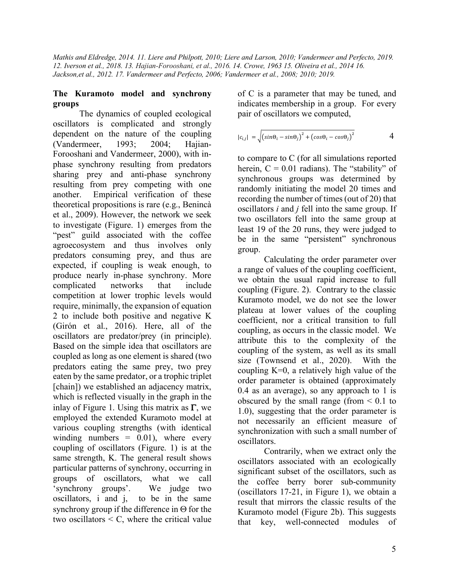*Mathis and Eldredge, 2014. 11. Liere and Philpott, 2010; Liere and Larson, 2010; Vandermeer and Perfecto, 2019. 12. Iverson et al., 2018. 13. Hajian-Forooshani, et al., 2016. 14. Crowe, 1963 15. Oliveira et al., 2014 16. Jackson,et al., 2012. 17. Vandermeer and Perfecto, 2006; Vandermeer et al., 2008; 2010; 2019.*

### **The Kuramoto model and synchrony groups**

The dynamics of coupled ecological oscillators is complicated and strongly dependent on the nature of the coupling (Vandermeer, 1993; 2004; Hajian-Forooshani and Vandermeer, 2000), with inphase synchrony resulting from predators sharing prey and anti-phase synchrony resulting from prey competing with one another. Empirical verification of these theoretical propositions is rare (e.g., Benincà et al., 2009). However, the network we seek to investigate (Figure. 1) emerges from the "pest" guild associated with the coffee agroecosystem and thus involves only predators consuming prey, and thus are expected, if coupling is weak enough, to produce nearly in-phase synchrony. More complicated networks that include competition at lower trophic levels would require, minimally, the expansion of equation 2 to include both positive and negative K (Girón et al., 2016). Here, all of the oscillators are predator/prey (in principle). Based on the simple idea that oscillators are coupled as long as one element is shared (two predators eating the same prey, two prey eaten by the same predator, or a trophic triplet [chain]) we established an adjacency matrix, which is reflected visually in the graph in the inlay of Figure 1. Using this matrix as  $\Gamma$ , we employed the extended Kuramoto model at various coupling strengths (with identical winding numbers  $= 0.01$ ), where every coupling of oscillators (Figure. 1) is at the same strength, K. The general result shows particular patterns of synchrony, occurring in groups of oscillators, what we call 'synchrony groups'. We judge two oscillators, i and j, to be in the same synchrony group if the difference in  $\Theta$  for the two oscillators  $\leq C$ , where the critical value of C is a parameter that may be tuned, and indicates membership in a group. For every pair of oscillators we computed,

$$
|c_{i,j}| = \sqrt{\left(\sin\Theta_i - \sin\Theta_j\right)^2 + \left(\cos\Theta_i - \cos\Theta_j\right)^2} \qquad 4
$$

to compare to C (for all simulations reported herein,  $C = 0.01$  radians). The "stability" of synchronous groups was determined by randomly initiating the model 20 times and recording the number of times (out of 20) that oscillators *i* and *j* fell into the same group. If two oscillators fell into the same group at least 19 of the 20 runs, they were judged to be in the same "persistent" synchronous group.

Calculating the order parameter over a range of values of the coupling coefficient, we obtain the usual rapid increase to full coupling (Figure. 2). Contrary to the classic Kuramoto model, we do not see the lower plateau at lower values of the coupling coefficient, nor a critical transition to full coupling, as occurs in the classic model. We attribute this to the complexity of the coupling of the system, as well as its small size (Townsend et al., 2020). With the coupling  $K=0$ , a relatively high value of the order parameter is obtained (approximately 0.4 as an average), so any approach to 1 is obscured by the small range (from  $\leq 0.1$  to 1.0), suggesting that the order parameter is not necessarily an efficient measure of synchronization with such a small number of oscillators.

Contrarily, when we extract only the oscillators associated with an ecologically significant subset of the oscillators, such as the coffee berry borer sub-community (oscillators 17-21, in Figure 1), we obtain a result that mirrors the classic results of the Kuramoto model (Figure 2b). This suggests that key, well-connected modules of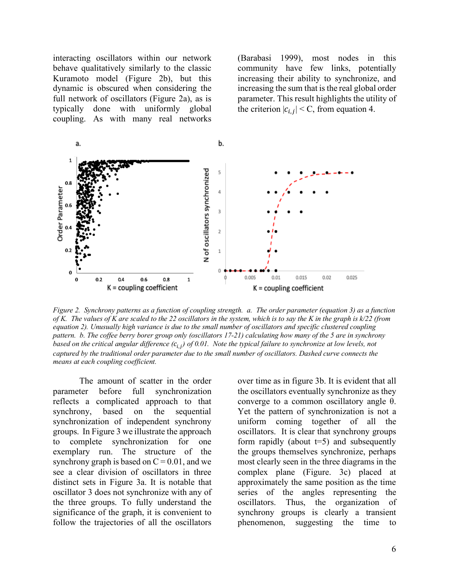interacting oscillators within our network behave qualitatively similarly to the classic Kuramoto model (Figure 2b), but this dynamic is obscured when considering the full network of oscillators (Figure 2a), as is typically done with uniformly global coupling. As with many real networks

(Barabasi 1999), most nodes in this community have few links, potentially increasing their ability to synchronize, and increasing the sum that is the real global order parameter. This result highlights the utility of the criterion  $|c_{i,j}| < C$ , from equation 4.



*Figure 2. Synchrony patterns as a function of coupling strength. a. The order parameter (equation 3) as a function of K. The values of K are scaled to the 22 oscillators in the system, which is to say the K in the graph is k/22 (from equation 2). Unusually high variance is due to the small number of oscillators and specific clustered coupling pattern. b. The coffee berry borer group only (oscillators 17-21) calculating how many of the 5 are in synchrony based on the critical angular difference* ( $c_{i,j}$ ) of 0.01. Note the typical failure to synchronize at low levels, not *captured by the traditional order parameter due to the small number of oscillators. Dashed curve connects the means at each coupling coefficient.*

The amount of scatter in the order parameter before full synchronization reflects a complicated approach to that synchrony, based on the sequential synchronization of independent synchrony groups. In Figure 3 we illustrate the approach to complete synchronization for one exemplary run. The structure of the synchrony graph is based on  $C = 0.01$ , and we see a clear division of oscillators in three distinct sets in Figure 3a. It is notable that oscillator 3 does not synchronize with any of the three groups. To fully understand the significance of the graph, it is convenient to follow the trajectories of all the oscillators

over time as in figure 3b. It is evident that all the oscillators eventually synchronize as they converge to a common oscillatory angle θ. Yet the pattern of synchronization is not a uniform coming together of all the oscillators. It is clear that synchrony groups form rapidly (about  $t=5$ ) and subsequently the groups themselves synchronize, perhaps most clearly seen in the three diagrams in the complex plane (Figure. 3c) placed at approximately the same position as the time series of the angles representing the oscillators. Thus, the organization of synchrony groups is clearly a transient phenomenon, suggesting the time to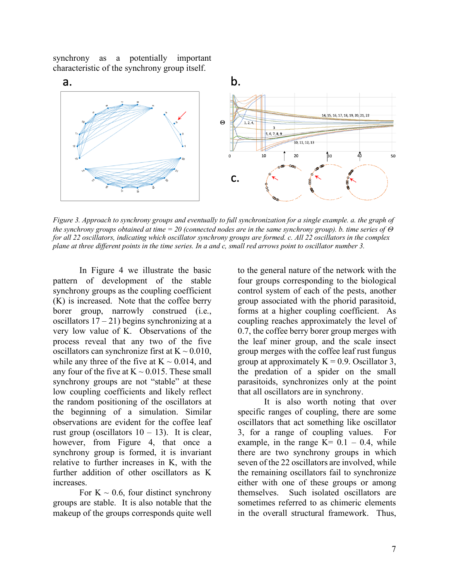synchrony as a potentially important characteristic of the synchrony group itself.



*Figure 3. Approach to synchrony groups and eventually to full synchronization for a single example. a. the graph of the synchrony groups obtained at time = 20 (connected nodes are in the same synchrony group). b. time series of*  $\Theta$ *for all 22 oscillators, indicating which oscillator synchrony groups are formed. c. All 22 oscillators in the complex plane at three different points in the time series. In a and c, small red arrows point to oscillator number 3.*

In Figure 4 we illustrate the basic pattern of development of the stable synchrony groups as the coupling coefficient (K) is increased. Note that the coffee berry borer group, narrowly construed (i.e., oscillators  $17 - 21$ ) begins synchronizing at a very low value of K. Observations of the process reveal that any two of the five oscillators can synchronize first at  $K \sim 0.010$ , while any three of the five at  $K \sim 0.014$ , and any four of the five at  $K \sim 0.015$ . These small synchrony groups are not "stable" at these low coupling coefficients and likely reflect the random positioning of the oscillators at the beginning of a simulation. Similar observations are evident for the coffee leaf rust group (oscillators  $10 - 13$ ). It is clear, however, from Figure 4, that once a synchrony group is formed, it is invariant relative to further increases in K, with the further addition of other oscillators as K increases.

For  $K \sim 0.6$ , four distinct synchrony groups are stable. It is also notable that the makeup of the groups corresponds quite well to the general nature of the network with the four groups corresponding to the biological control system of each of the pests, another group associated with the phorid parasitoid, forms at a higher coupling coefficient. As coupling reaches approximately the level of 0.7, the coffee berry borer group merges with the leaf miner group, and the scale insect group merges with the coffee leaf rust fungus group at approximately  $K = 0.9$ . Oscillator 3, the predation of a spider on the small parasitoids, synchronizes only at the point that all oscillators are in synchrony.

It is also worth noting that over specific ranges of coupling, there are some oscillators that act something like oscillator 3, for a range of coupling values. For example, in the range  $K= 0.1 - 0.4$ , while there are two synchrony groups in which seven of the 22 oscillators are involved, while the remaining oscillators fail to synchronize either with one of these groups or among themselves. Such isolated oscillators are sometimes referred to as chimeric elements in the overall structural framework. Thus,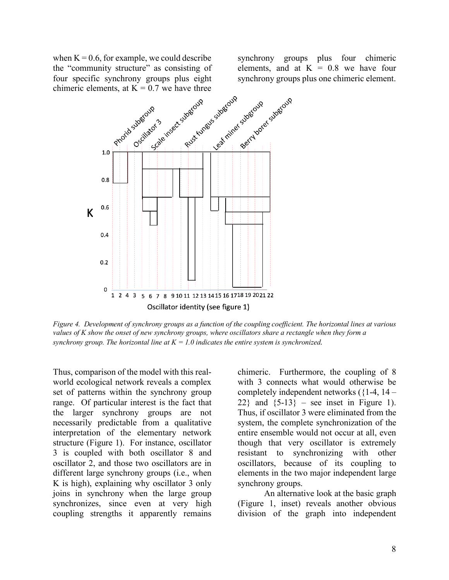when  $K = 0.6$ , for example, we could describe chimeric elements, at  $K = 0.7$  we have three synchrony groups plus four chimeric elements, and at  $K = 0.8$  we have four



*Figure 4. Development of synchrony groups as a function of the coupling coefficient. The horizontal lines at various values of K show the onset of new synchrony groups, where oscillators share a rectangle when they form a synchrony group. The horizontal line at*  $K = 1.0$  *indicates the entire system is synchronized.* 

Thus, comparison of the model with this realworld ecological network reveals a complex set of patterns within the synchrony group range. Of particular interest is the fact that the larger synchrony groups are not necessarily predictable from a qualitative interpretation of the elementary network structure (Figure 1). For instance, oscillator 3 is coupled with both oscillator 8 and oscillator 2, and those two oscillators are in different large synchrony groups (i.e., when K is high), explaining why oscillator 3 only joins in synchrony when the large group synchronizes, since even at very high coupling strengths it apparently remains chimeric. Furthermore, the coupling of 8 with 3 connects what would otherwise be completely independent networks  $(1-4, 14-$ 22} and  $\{5-13\}$  – see inset in Figure 1). Thus, if oscillator 3 were eliminated from the system, the complete synchronization of the entire ensemble would not occur at all, even though that very oscillator is extremely resistant to synchronizing with other oscillators, because of its coupling to elements in the two major independent large synchrony groups.

An alternative look at the basic graph (Figure 1, inset) reveals another obvious division of the graph into independent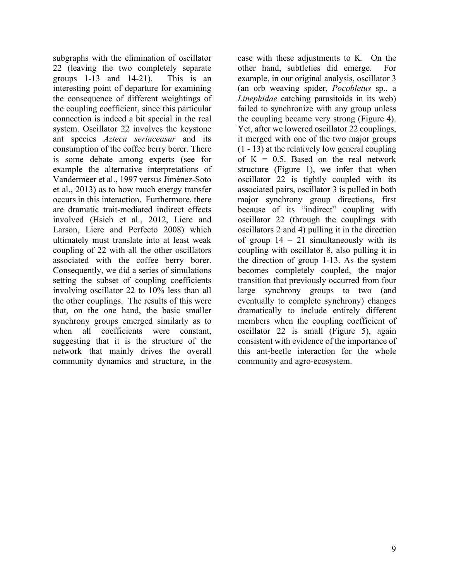subgraphs with the elimination of oscillator 22 (leaving the two completely separate groups 1-13 and 14-21). This is an interesting point of departure for examining the consequence of different weightings of the coupling coefficient, since this particular connection is indeed a bit special in the real system. Oscillator 22 involves the keystone ant species *Azteca seriaceasur* and its consumption of the coffee berry borer. There is some debate among experts (see for example the alternative interpretations of Vandermeer et al., 1997 versus Jiménez-Soto et al., 2013) as to how much energy transfer occurs in this interaction. Furthermore, there are dramatic trait-mediated indirect effects involved (Hsieh et al., 2012, Liere and Larson, Liere and Perfecto 2008) which ultimately must translate into at least weak coupling of 22 with all the other oscillators associated with the coffee berry borer. Consequently, we did a series of simulations setting the subset of coupling coefficients involving oscillator 22 to 10% less than all the other couplings. The results of this were that, on the one hand, the basic smaller synchrony groups emerged similarly as to when all coefficients were constant, suggesting that it is the structure of the network that mainly drives the overall community dynamics and structure, in the case with these adjustments to K. On the other hand, subtleties did emerge. For example, in our original analysis, oscillator 3 (an orb weaving spider, *Pocobletus* sp., a *Linephidae* catching parasitoids in its web) failed to synchronize with any group unless the coupling became very strong (Figure 4). Yet, after we lowered oscillator 22 couplings, it merged with one of the two major groups (1 - 13) at the relatively low general coupling of  $K = 0.5$ . Based on the real network structure (Figure 1), we infer that when oscillator 22 is tightly coupled with its associated pairs, oscillator 3 is pulled in both major synchrony group directions, first because of its "indirect" coupling with oscillator 22 (through the couplings with oscillators 2 and 4) pulling it in the direction of group  $14 - 21$  simultaneously with its coupling with oscillator 8, also pulling it in the direction of group 1-13. As the system becomes completely coupled, the major transition that previously occurred from four large synchrony groups to two (and eventually to complete synchrony) changes dramatically to include entirely different members when the coupling coefficient of oscillator 22 is small (Figure 5), again consistent with evidence of the importance of this ant-beetle interaction for the whole community and agro-ecosystem.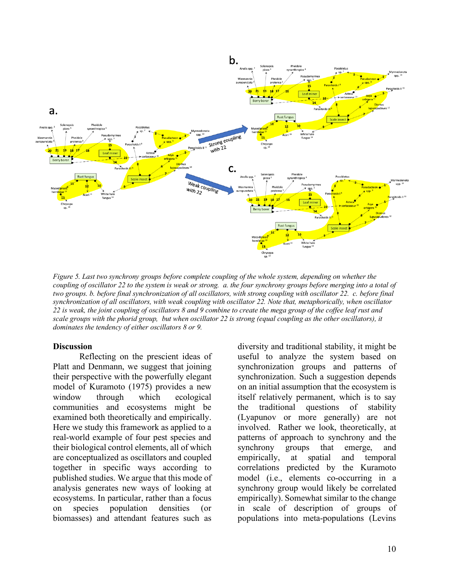

*Figure 5. Last two synchrony groups before complete coupling of the whole system, depending on whether the coupling of oscillator 22 to the system is weak or strong. a. the four synchrony groups before merging into a total of two groups. b. before final synchronization of all oscillators, with strong coupling with oscillator 22. c. before final synchronization of all oscillators, with weak coupling with oscillator 22. Note that, metaphorically, when oscillator 22 is weak, the joint coupling of oscillators 8 and 9 combine to create the mega group of the coffee leaf rust and scale groups with the phorid group, but when oscillator 22 is strong (equal coupling as the other oscillators), it dominates the tendency of either oscillators 8 or 9.*

#### **Discussion**

Reflecting on the prescient ideas of Platt and Denmann, we suggest that joining their perspective with the powerfully elegant model of Kuramoto (1975) provides a new window through which ecological communities and ecosystems might be examined both theoretically and empirically. Here we study this framework as applied to a real-world example of four pest species and their biological control elements, all of which are conceptualized as oscillators and coupled together in specific ways according to published studies. We argue that this mode of analysis generates new ways of looking at ecosystems. In particular, rather than a focus on species population densities (or biomasses) and attendant features such as

diversity and traditional stability, it might be useful to analyze the system based on synchronization groups and patterns of synchronization. Such a suggestion depends on an initial assumption that the ecosystem is itself relatively permanent, which is to say the traditional questions of stability (Lyapunov or more generally) are not involved. Rather we look, theoretically, at patterns of approach to synchrony and the synchrony groups that emerge, and empirically, at spatial and temporal correlations predicted by the Kuramoto model (i.e., elements co-occurring in a synchrony group would likely be correlated empirically). Somewhat similar to the change in scale of description of groups of populations into meta-populations (Levins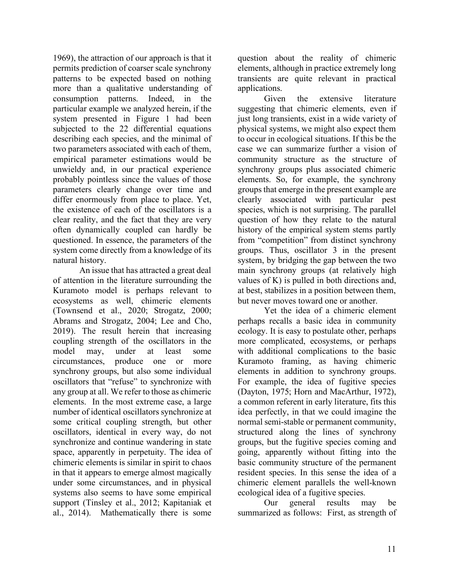1969), the attraction of our approach is that it permits prediction of coarser scale synchrony patterns to be expected based on nothing more than a qualitative understanding of consumption patterns. Indeed, in the particular example we analyzed herein, if the system presented in Figure 1 had been subjected to the 22 differential equations describing each species, and the minimal of two parameters associated with each of them, empirical parameter estimations would be unwieldy and, in our practical experience probably pointless since the values of those parameters clearly change over time and differ enormously from place to place. Yet, the existence of each of the oscillators is a clear reality, and the fact that they are very often dynamically coupled can hardly be questioned. In essence, the parameters of the system come directly from a knowledge of its natural history.

An issue that has attracted a great deal of attention in the literature surrounding the Kuramoto model is perhaps relevant to ecosystems as well, chimeric elements (Townsend et al., 2020; Strogatz, 2000; Abrams and Strogatz, 2004; Lee and Cho, 2019). The result herein that increasing coupling strength of the oscillators in the model may, under at least some circumstances, produce one or more synchrony groups, but also some individual oscillators that "refuse" to synchronize with any group at all. We refer to those as chimeric elements. In the most extreme case, a large number of identical oscillators synchronize at some critical coupling strength, but other oscillators, identical in every way, do not synchronize and continue wandering in state space, apparently in perpetuity. The idea of chimeric elements is similar in spirit to chaos in that it appears to emerge almost magically under some circumstances, and in physical systems also seems to have some empirical support (Tinsley et al., 2012; Kapitaniak et al., 2014). Mathematically there is some

question about the reality of chimeric elements, although in practice extremely long transients are quite relevant in practical applications.

Given the extensive literature suggesting that chimeric elements, even if just long transients, exist in a wide variety of physical systems, we might also expect them to occur in ecological situations. If this be the case we can summarize further a vision of community structure as the structure of synchrony groups plus associated chimeric elements. So, for example, the synchrony groups that emerge in the present example are clearly associated with particular pest species, which is not surprising. The parallel question of how they relate to the natural history of the empirical system stems partly from "competition" from distinct synchrony groups. Thus, oscillator 3 in the present system, by bridging the gap between the two main synchrony groups (at relatively high values of K) is pulled in both directions and, at best, stabilizes in a position between them, but never moves toward one or another.

Yet the idea of a chimeric element perhaps recalls a basic idea in community ecology. It is easy to postulate other, perhaps more complicated, ecosystems, or perhaps with additional complications to the basic Kuramoto framing, as having chimeric elements in addition to synchrony groups. For example, the idea of fugitive species (Dayton, 1975; Horn and MacArthur, 1972), a common referent in early literature, fits this idea perfectly, in that we could imagine the normal semi-stable or permanent community, structured along the lines of synchrony groups, but the fugitive species coming and going, apparently without fitting into the basic community structure of the permanent resident species. In this sense the idea of a chimeric element parallels the well-known ecological idea of a fugitive species.

Our general results may be summarized as follows: First, as strength of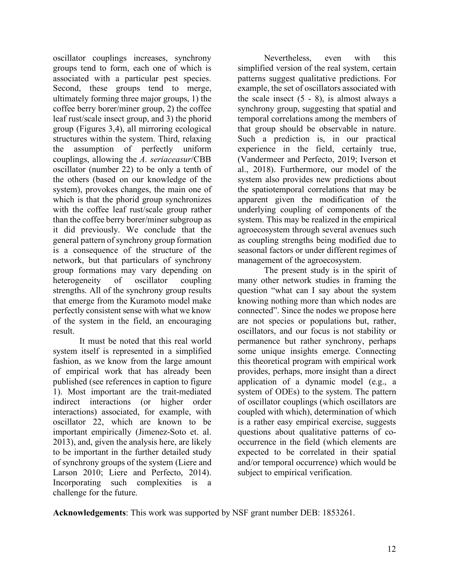oscillator couplings increases, synchrony groups tend to form, each one of which is associated with a particular pest species. Second, these groups tend to merge, ultimately forming three major groups, 1) the coffee berry borer/miner group, 2) the coffee leaf rust/scale insect group, and 3) the phorid group (Figures 3,4), all mirroring ecological structures within the system. Third, relaxing the assumption of perfectly uniform couplings, allowing the *A. seriaceasur*/CBB oscillator (number 22) to be only a tenth of the others (based on our knowledge of the system), provokes changes, the main one of which is that the phorid group synchronizes with the coffee leaf rust/scale group rather than the coffee berry borer/miner subgroup as it did previously. We conclude that the general pattern of synchrony group formation is a consequence of the structure of the network, but that particulars of synchrony group formations may vary depending on heterogeneity of oscillator coupling strengths. All of the synchrony group results that emerge from the Kuramoto model make perfectly consistent sense with what we know of the system in the field, an encouraging result.

It must be noted that this real world system itself is represented in a simplified fashion, as we know from the large amount of empirical work that has already been published (see references in caption to figure 1). Most important are the trait-mediated indirect interactions (or higher order interactions) associated, for example, with oscillator 22, which are known to be important empirically (Jimenez-Soto et. al. 2013), and, given the analysis here, are likely to be important in the further detailed study of synchrony groups of the system (Liere and Larson 2010; Liere and Perfecto, 2014). Incorporating such complexities is a challenge for the future.

Nevertheless, even with this simplified version of the real system, certain patterns suggest qualitative predictions. For example, the set of oscillators associated with the scale insect  $(5 - 8)$ , is almost always a synchrony group, suggesting that spatial and temporal correlations among the members of that group should be observable in nature. Such a prediction is, in our practical experience in the field, certainly true, (Vandermeer and Perfecto, 2019; Iverson et al., 2018). Furthermore, our model of the system also provides new predictions about the spatiotemporal correlations that may be apparent given the modification of the underlying coupling of components of the system. This may be realized in the empirical agroecosystem through several avenues such as coupling strengths being modified due to seasonal factors or under different regimes of management of the agroecosystem.

The present study is in the spirit of many other network studies in framing the question "what can I say about the system knowing nothing more than which nodes are connected". Since the nodes we propose here are not species or populations but, rather, oscillators, and our focus is not stability or permanence but rather synchrony, perhaps some unique insights emerge. Connecting this theoretical program with empirical work provides, perhaps, more insight than a direct application of a dynamic model (e.g., a system of ODEs) to the system. The pattern of oscillator couplings (which oscillators are coupled with which), determination of which is a rather easy empirical exercise, suggests questions about qualitative patterns of cooccurrence in the field (which elements are expected to be correlated in their spatial and/or temporal occurrence) which would be subject to empirical verification.

**Acknowledgements**: This work was supported by NSF grant number DEB: 1853261.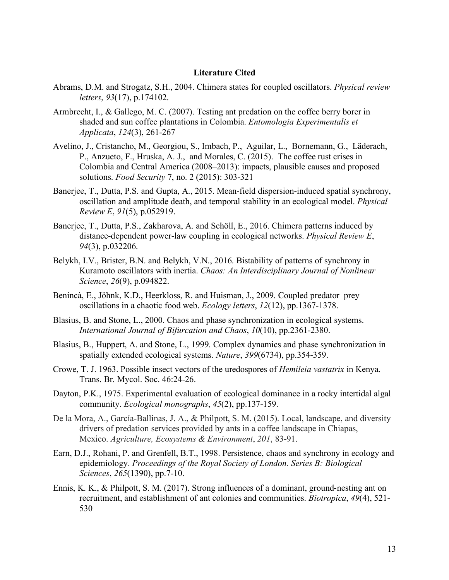#### **Literature Cited**

- Abrams, D.M. and Strogatz, S.H., 2004. Chimera states for coupled oscillators. *Physical review letters*, *93*(17), p.174102.
- Armbrecht, I., & Gallego, M. C. (2007). Testing ant predation on the coffee berry borer in shaded and sun coffee plantations in Colombia. *Entomologia Experimentalis et Applicata*, *124*(3), 261-267
- Avelino, J., Cristancho, M., Georgiou, S., Imbach, P., Aguilar, L., Bornemann, G., Läderach, P., Anzueto, F., Hruska, A. J., and Morales, C. (2015). The coffee rust crises in Colombia and Central America (2008–2013): impacts, plausible causes and proposed solutions. *Food Security* 7, no. 2 (2015): 303-321
- Banerjee, T., Dutta, P.S. and Gupta, A., 2015. Mean-field dispersion-induced spatial synchrony, oscillation and amplitude death, and temporal stability in an ecological model. *Physical Review E*, *91*(5), p.052919.
- Banerjee, T., Dutta, P.S., Zakharova, A. and Schöll, E., 2016. Chimera patterns induced by distance-dependent power-law coupling in ecological networks. *Physical Review E*, *94*(3), p.032206.
- Belykh, I.V., Brister, B.N. and Belykh, V.N., 2016. Bistability of patterns of synchrony in Kuramoto oscillators with inertia. *Chaos: An Interdisciplinary Journal of Nonlinear Science*, *26*(9), p.094822.
- Benincà, E., Jöhnk, K.D., Heerkloss, R. and Huisman, J., 2009. Coupled predator–prey oscillations in a chaotic food web. *Ecology letters*, *12*(12), pp.1367-1378.
- Blasius, B. and Stone, L., 2000. Chaos and phase synchronization in ecological systems. *International Journal of Bifurcation and Chaos*, *10*(10), pp.2361-2380.
- Blasius, B., Huppert, A. and Stone, L., 1999. Complex dynamics and phase synchronization in spatially extended ecological systems. *Nature*, *399*(6734), pp.354-359.
- Crowe, T. J. 1963. Possible insect vectors of the uredospores of *Hemileia vastatrix* in Kenya. Trans. Br. Mycol. Soc. 46:24-26.
- Dayton, P.K., 1975. Experimental evaluation of ecological dominance in a rocky intertidal algal community. *Ecological monographs*, *45*(2), pp.137-159.
- De la Mora, A., García-Ballinas, J. A., & Philpott, S. M. (2015). Local, landscape, and diversity drivers of predation services provided by ants in a coffee landscape in Chiapas, Mexico. *Agriculture, Ecosystems & Environment*, *201*, 83-91.
- Earn, D.J., Rohani, P. and Grenfell, B.T., 1998. Persistence, chaos and synchrony in ecology and epidemiology. *Proceedings of the Royal Society of London. Series B: Biological Sciences*, *265*(1390), pp.7-10.
- Ennis, K. K., & Philpott, S. M. (2017). Strong influences of a dominant, ground-nesting ant on recruitment, and establishment of ant colonies and communities. *Biotropica*, *49*(4), 521- 530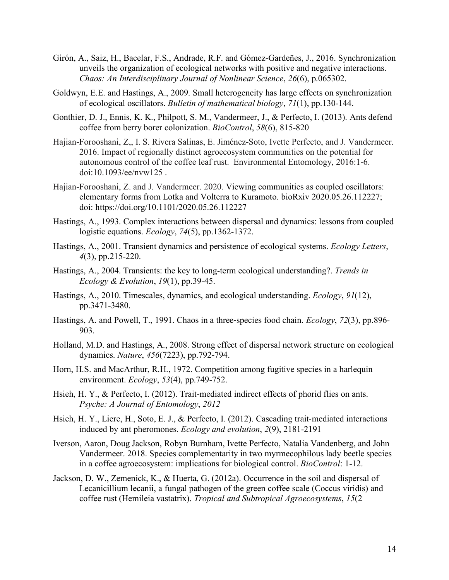- Girón, A., Saiz, H., Bacelar, F.S., Andrade, R.F. and Gómez-Gardeñes, J., 2016. Synchronization unveils the organization of ecological networks with positive and negative interactions. *Chaos: An Interdisciplinary Journal of Nonlinear Science*, *26*(6), p.065302.
- Goldwyn, E.E. and Hastings, A., 2009. Small heterogeneity has large effects on synchronization of ecological oscillators. *Bulletin of mathematical biology*, *71*(1), pp.130-144.
- Gonthier, D. J., Ennis, K. K., Philpott, S. M., Vandermeer, J., & Perfecto, I. (2013). Ants defend coffee from berry borer colonization. *BioControl*, *58*(6), 815-820
- Hajian-Forooshani, Z,, I. S. Rivera Salinas, E. Jiménez-Soto, Ivette Perfecto, and J. Vandermeer. 2016. Impact of regionally distinct agroecosystem communities on the potential for autonomous control of the coffee leaf rust. Environmental Entomology, 2016:1-6. doi:10.1093/ee/nvw125 .
- Hajian-Forooshani, Z. and J. Vandermeer. 2020. Viewing communities as coupled oscillators: elementary forms from Lotka and Volterra to Kuramoto. bioRxiv 2020.05.26.112227; doi: https://doi.org/10.1101/2020.05.26.112227
- Hastings, A., 1993. Complex interactions between dispersal and dynamics: lessons from coupled logistic equations. *Ecology*, *74*(5), pp.1362-1372.
- Hastings, A., 2001. Transient dynamics and persistence of ecological systems. *Ecology Letters*, *4*(3), pp.215-220.
- Hastings, A., 2004. Transients: the key to long-term ecological understanding?. *Trends in Ecology & Evolution*, *19*(1), pp.39-45.
- Hastings, A., 2010. Timescales, dynamics, and ecological understanding. *Ecology*, *91*(12), pp.3471-3480.
- Hastings, A. and Powell, T., 1991. Chaos in a three-species food chain. *Ecology*, *72*(3), pp.896- 903.
- Holland, M.D. and Hastings, A., 2008. Strong effect of dispersal network structure on ecological dynamics. *Nature*, *456*(7223), pp.792-794.
- Horn, H.S. and MacArthur, R.H., 1972. Competition among fugitive species in a harlequin environment. *Ecology*, *53*(4), pp.749-752.
- Hsieh, H. Y., & Perfecto, I. (2012). Trait-mediated indirect effects of phorid flies on ants. *Psyche: A Journal of Entomology*, *2012*
- Hsieh, H. Y., Liere, H., Soto, E. J., & Perfecto, I. (2012). Cascading trait-mediated interactions induced by ant pheromones. *Ecology and evolution*, *2*(9), 2181-2191
- Iverson, Aaron, Doug Jackson, Robyn Burnham, Ivette Perfecto, Natalia Vandenberg, and John Vandermeer. 2018. Species complementarity in two myrmecophilous lady beetle species in a coffee agroecosystem: implications for biological control. *BioControl*: 1-12.
- Jackson, D. W., Zemenick, K., & Huerta, G. (2012a). Occurrence in the soil and dispersal of Lecanicillium lecanii, a fungal pathogen of the green coffee scale (Coccus viridis) and coffee rust (Hemileia vastatrix). *Tropical and Subtropical Agroecosystems*, *15*(2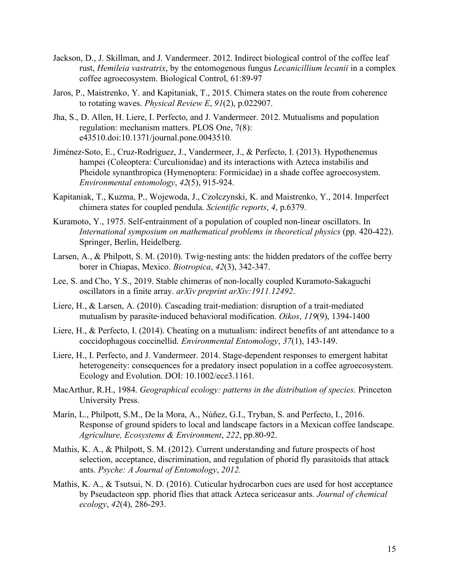- Jackson, D., J. Skillman, and J. Vandermeer. 2012. Indirect biological control of the coffee leaf rust, *Hemileia vastratrix*, by the entomogenous fungus *Lecanicillium lecanii* in a complex coffee agroecosystem. Biological Control, 61:89-97
- Jaros, P., Maistrenko, Y. and Kapitaniak, T., 2015. Chimera states on the route from coherence to rotating waves. *Physical Review E*, *91*(2), p.022907.
- Jha, S., D. Allen, H. Liere, I. Perfecto, and J. Vandermeer. 2012. Mutualisms and population regulation: mechanism matters. PLOS One, 7(8): e43510.doi:10.1371/journal.pone.0043510.
- Jiménez-Soto, E., Cruz-Rodríguez, J., Vandermeer, J., & Perfecto, I. (2013). Hypothenemus hampei (Coleoptera: Curculionidae) and its interactions with Azteca instabilis and Pheidole synanthropica (Hymenoptera: Formicidae) in a shade coffee agroecosystem. *Environmental entomology*, *42*(5), 915-924.
- Kapitaniak, T., Kuzma, P., Wojewoda, J., Czolczynski, K. and Maistrenko, Y., 2014. Imperfect chimera states for coupled pendula. *Scientific reports*, *4*, p.6379.
- Kuramoto, Y., 1975. Self-entrainment of a population of coupled non-linear oscillators. In *International symposium on mathematical problems in theoretical physics* (pp. 420-422). Springer, Berlin, Heidelberg.
- Larsen, A., & Philpott, S. M. (2010). Twig-nesting ants: the hidden predators of the coffee berry borer in Chiapas, Mexico. *Biotropica*, *42*(3), 342-347.
- Lee, S. and Cho, Y.S., 2019. Stable chimeras of non-locally coupled Kuramoto-Sakaguchi oscillators in a finite array. *arXiv preprint arXiv:1911.12492*.
- Liere, H., & Larsen, A. (2010). Cascading trait-mediation: disruption of a trait-mediated mutualism by parasite-induced behavioral modification. *Oikos*, *119*(9), 1394-1400
- Liere, H., & Perfecto, I. (2014). Cheating on a mutualism: indirect benefits of ant attendance to a coccidophagous coccinellid. *Environmental Entomology*, *37*(1), 143-149.
- Liere, H., I. Perfecto, and J. Vandermeer. 2014. Stage-dependent responses to emergent habitat heterogeneity: consequences for a predatory insect population in a coffee agroecosystem. Ecology and Evolution. DOI: 10.1002/ece3.1161.
- MacArthur, R.H., 1984. *Geographical ecology: patterns in the distribution of species*. Princeton University Press.
- Marín, L., Philpott, S.M., De la Mora, A., Núñez, G.I., Tryban, S. and Perfecto, I., 2016. Response of ground spiders to local and landscape factors in a Mexican coffee landscape. *Agriculture, Ecosystems & Environment*, *222*, pp.80-92.
- Mathis, K. A., & Philpott, S. M. (2012). Current understanding and future prospects of host selection, acceptance, discrimination, and regulation of phorid fly parasitoids that attack ants. *Psyche: A Journal of Entomology*, *2012.*
- Mathis, K. A., & Tsutsui, N. D. (2016). Cuticular hydrocarbon cues are used for host acceptance by Pseudacteon spp. phorid flies that attack Azteca sericeasur ants. *Journal of chemical ecology*, *42*(4), 286-293.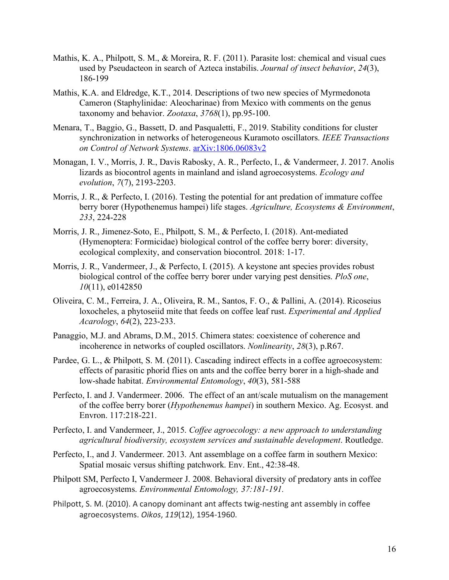- Mathis, K. A., Philpott, S. M., & Moreira, R. F. (2011). Parasite lost: chemical and visual cues used by Pseudacteon in search of Azteca instabilis. *Journal of insect behavior*, *24*(3), 186-199
- Mathis, K.A. and Eldredge, K.T., 2014. Descriptions of two new species of Myrmedonota Cameron (Staphylinidae: Aleocharinae) from Mexico with comments on the genus taxonomy and behavior. *Zootaxa*, *3768*(1), pp.95-100.
- Menara, T., Baggio, G., Bassett, D. and Pasqualetti, F., 2019. Stability conditions for cluster synchronization in networks of heterogeneous Kuramoto oscillators. *IEEE Transactions on Control of Network Systems*. arXiv:1806.06083v2
- Monagan, I. V., Morris, J. R., Davis Rabosky, A. R., Perfecto, I., & Vandermeer, J. 2017. Anolis lizards as biocontrol agents in mainland and island agroecosystems. *Ecology and evolution*, *7*(7), 2193-2203.
- Morris, J. R., & Perfecto, I. (2016). Testing the potential for ant predation of immature coffee berry borer (Hypothenemus hampei) life stages. *Agriculture, Ecosystems & Environment*, *233*, 224-228
- Morris, J. R., Jimenez-Soto, E., Philpott, S. M., & Perfecto, I. (2018). Ant-mediated (Hymenoptera: Formicidae) biological control of the coffee berry borer: diversity, ecological complexity, and conservation biocontrol. 2018: 1-17.
- Morris, J. R., Vandermeer, J., & Perfecto, I. (2015). A keystone ant species provides robust biological control of the coffee berry borer under varying pest densities. *PloS one*, *10*(11), e0142850
- Oliveira, C. M., Ferreira, J. A., Oliveira, R. M., Santos, F. O., & Pallini, A. (2014). Ricoseius loxocheles, a phytoseiid mite that feeds on coffee leaf rust. *Experimental and Applied Acarology*, *64*(2), 223-233.
- Panaggio, M.J. and Abrams, D.M., 2015. Chimera states: coexistence of coherence and incoherence in networks of coupled oscillators. *Nonlinearity*, *28*(3), p.R67.
- Pardee, G. L., & Philpott, S. M. (2011). Cascading indirect effects in a coffee agroecosystem: effects of parasitic phorid flies on ants and the coffee berry borer in a high-shade and low-shade habitat. *Environmental Entomology*, *40*(3), 581-588
- Perfecto, I. and J. Vandermeer. 2006. The effect of an ant/scale mutualism on the management of the coffee berry borer (*Hypothenemus hampei*) in southern Mexico. Ag. Ecosyst. and Envron. 117:218-221.
- Perfecto, I. and Vandermeer, J., 2015. *Coffee agroecology: a new approach to understanding agricultural biodiversity, ecosystem services and sustainable development*. Routledge.
- Perfecto, I., and J. Vandermeer. 2013. Ant assemblage on a coffee farm in southern Mexico: Spatial mosaic versus shifting patchwork. Env. Ent., 42:38-48.
- Philpott SM, Perfecto I, Vandermeer J. 2008. Behavioral diversity of predatory ants in coffee agroecosystems. *Environmental Entomology, 37:181-191.*
- Philpott, S. M. (2010). A canopy dominant ant affects twig-nesting ant assembly in coffee agroecosystems. *Oikos*, *119*(12), 1954-1960.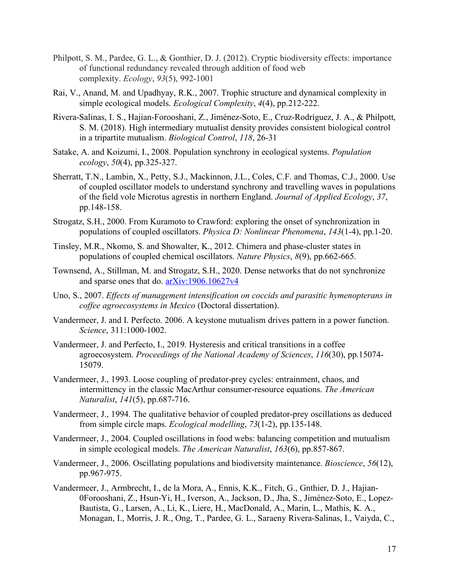- Philpott, S. M., Pardee, G. L., & Gonthier, D. J. (2012). Cryptic biodiversity effects: importance of functional redundancy revealed through addition of food web complexity. *Ecology*, *93*(5), 992-1001
- Rai, V., Anand, M. and Upadhyay, R.K., 2007. Trophic structure and dynamical complexity in simple ecological models. *Ecological Complexity*, *4*(4), pp.212-222.
- Rivera-Salinas, I. S., Hajian-Forooshani, Z., Jiménez-Soto, E., Cruz-Rodríguez, J. A., & Philpott, S. M. (2018). High intermediary mutualist density provides consistent biological control in a tripartite mutualism. *Biological Control*, *118*, 26-31
- Satake, A. and Koizumi, I., 2008. Population synchrony in ecological systems. *Population ecology*, *50*(4), pp.325-327.
- Sherratt, T.N., Lambin, X., Petty, S.J., Mackinnon, J.L., Coles, C.F. and Thomas, C.J., 2000. Use of coupled oscillator models to understand synchrony and travelling waves in populations of the field vole Microtus agrestis in northern England. *Journal of Applied Ecology*, *37*, pp.148-158.
- Strogatz, S.H., 2000. From Kuramoto to Crawford: exploring the onset of synchronization in populations of coupled oscillators. *Physica D: Nonlinear Phenomena*, *143*(1-4), pp.1-20.
- Tinsley, M.R., Nkomo, S. and Showalter, K., 2012. Chimera and phase-cluster states in populations of coupled chemical oscillators. *Nature Physics*, *8*(9), pp.662-665.
- Townsend, A., Stillman, M. and Strogatz, S.H., 2020. Dense networks that do not synchronize and sparse ones that do. arXiv:1906.10627v4
- Uno, S., 2007. *Effects of management intensification on coccids and parasitic hymenopterans in coffee agroecosystems in Mexico* (Doctoral dissertation).
- Vandermeer, J. and I. Perfecto. 2006. A keystone mutualism drives pattern in a power function. *Science*, 311:1000-1002.
- Vandermeer, J. and Perfecto, I., 2019. Hysteresis and critical transitions in a coffee agroecosystem. *Proceedings of the National Academy of Sciences*, *116*(30), pp.15074- 15079.
- Vandermeer, J., 1993. Loose coupling of predator-prey cycles: entrainment, chaos, and intermittency in the classic MacArthur consumer-resource equations. *The American Naturalist*, *141*(5), pp.687-716.
- Vandermeer, J., 1994. The qualitative behavior of coupled predator-prey oscillations as deduced from simple circle maps. *Ecological modelling*, *73*(1-2), pp.135-148.
- Vandermeer, J., 2004. Coupled oscillations in food webs: balancing competition and mutualism in simple ecological models. *The American Naturalist*, *163*(6), pp.857-867.
- Vandermeer, J., 2006. Oscillating populations and biodiversity maintenance. *Bioscience*, *56*(12), pp.967-975.
- Vandermeer, J., Armbrecht, I., de la Mora, A., Ennis, K.K., Fitch, G., Gnthier, D. J., Hajian-0Forooshani, Z., Hsun-Yi, H., Iverson, A., Jackson, D., Jha, S., Jiménez-Soto, E., Lopez-Bautista, G., Larsen, A., Li, K., Liere, H., MacDonald, A., Marin, L., Mathis, K. A., Monagan, I., Morris, J. R., Ong, T., Pardee, G. L., Saraeny Rivera-Salinas, I., Vaiyda, C.,